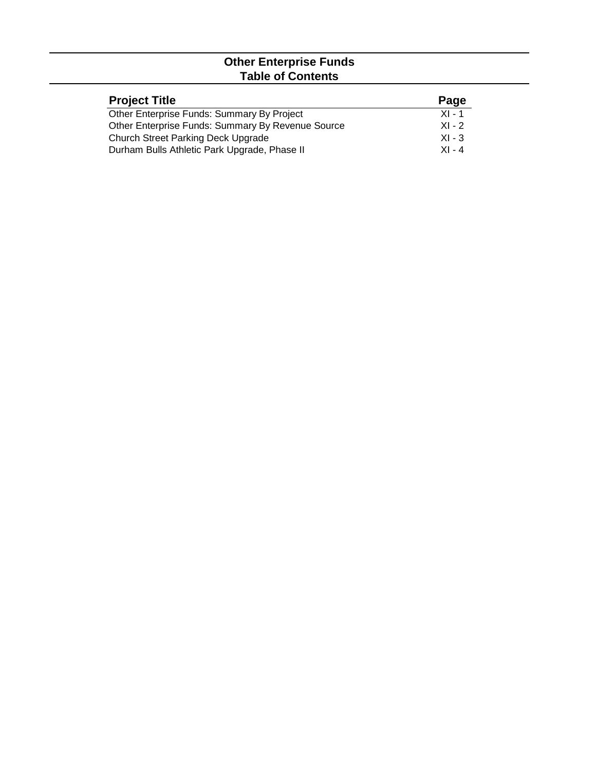## **Other Enterprise Funds Table of Contents**

| <b>Project Title</b>                              | Page     |
|---------------------------------------------------|----------|
| Other Enterprise Funds: Summary By Project        | $XI - 1$ |
| Other Enterprise Funds: Summary By Revenue Source | $XI - 2$ |
| <b>Church Street Parking Deck Upgrade</b>         | $XI - 3$ |
| Durham Bulls Athletic Park Upgrade, Phase II      | $XI - 4$ |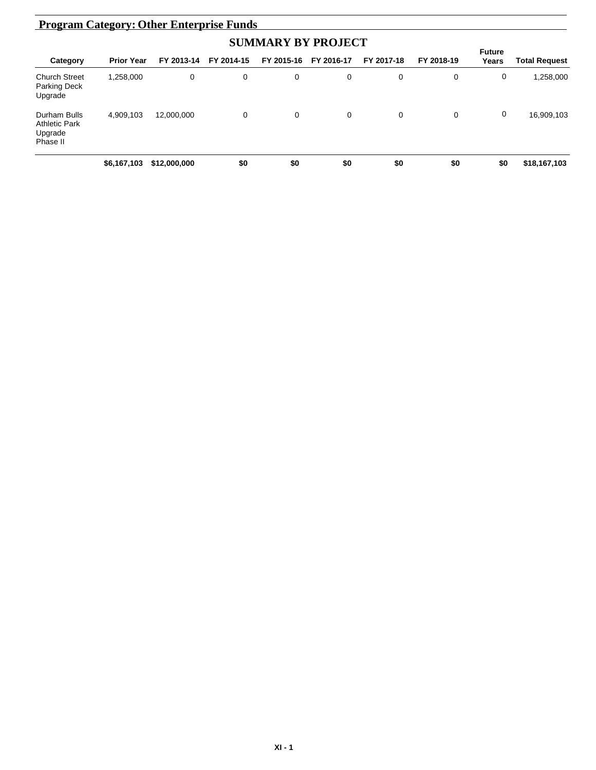| <b>Program Category: Other Enterprise Funds</b>             |                   |              |             |            |            |            |            |                        |                      |  |
|-------------------------------------------------------------|-------------------|--------------|-------------|------------|------------|------------|------------|------------------------|----------------------|--|
|                                                             |                   |              |             |            |            |            |            |                        |                      |  |
| Category                                                    | <b>Prior Year</b> | FY 2013-14   | FY 2014-15  | FY 2015-16 | FY 2016-17 | FY 2017-18 | FY 2018-19 | <b>Future</b><br>Years | <b>Total Request</b> |  |
| <b>Church Street</b><br>Parking Deck<br>Upgrade             | 1,258,000         | 0            | 0           | 0          | 0          | 0          | 0          | 0                      | 1,258,000            |  |
| Durham Bulls<br><b>Athletic Park</b><br>Upgrade<br>Phase II | 4.909.103         | 12.000.000   | $\mathbf 0$ | 0          | 0          | 0          | 0          | 0                      | 16,909,103           |  |
|                                                             | \$6,167,103       | \$12,000,000 | \$0         | \$0        | \$0        | \$0        | \$0        | \$0                    | \$18,167,103         |  |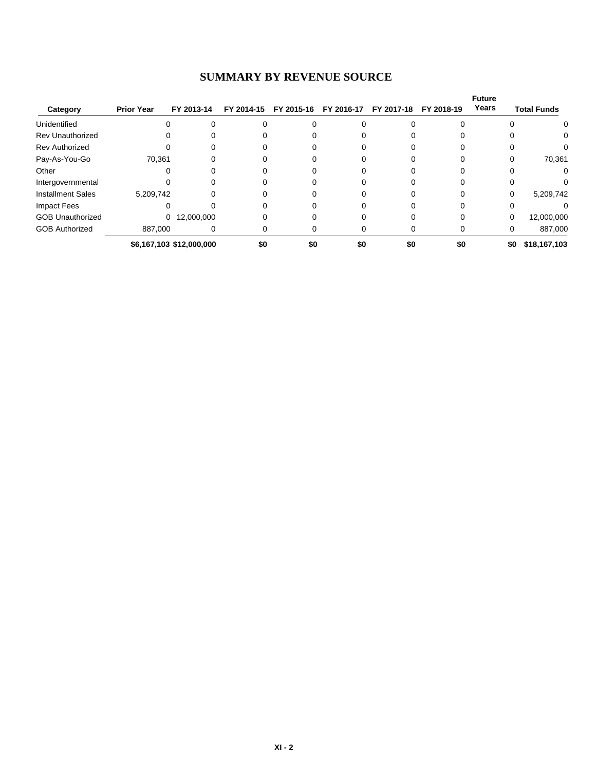## **SUMMARY BY REVENUE SOURCE**

| Category                 | <b>Prior Year</b> | FY 2013-14               | FY 2014-15 | FY 2015-16 | FY 2016-17 | FY 2017-18 | FY 2018-19 | <b>Future</b><br>Years | <b>Total Funds</b> |
|--------------------------|-------------------|--------------------------|------------|------------|------------|------------|------------|------------------------|--------------------|
| Unidentified             | 0                 |                          |            |            |            |            |            |                        | 0                  |
| <b>Rev Unauthorized</b>  | 0                 |                          |            |            |            |            |            |                        | 0                  |
| <b>Rev Authorized</b>    | 0                 |                          |            |            |            |            |            |                        |                    |
| Pay-As-You-Go            | 70,361            |                          |            |            |            |            |            |                        | 70,361             |
| Other                    |                   |                          |            |            |            |            |            |                        |                    |
| Intergovernmental        |                   |                          |            |            |            |            |            |                        |                    |
| <b>Installment Sales</b> | 5,209,742         |                          |            |            |            |            |            | $\Omega$               | 5,209,742          |
| Impact Fees              |                   |                          |            |            |            |            |            |                        |                    |
| <b>GOB Unauthorized</b>  |                   | 0 12,000,000             |            |            |            |            |            | 0                      | 12,000,000         |
| <b>GOB Authorized</b>    | 887,000           |                          |            |            |            |            |            | 0                      | 887,000            |
|                          |                   | \$6,167,103 \$12,000,000 | \$0        | \$0        | \$0        | \$0        | \$0        | \$0                    | \$18,167,103       |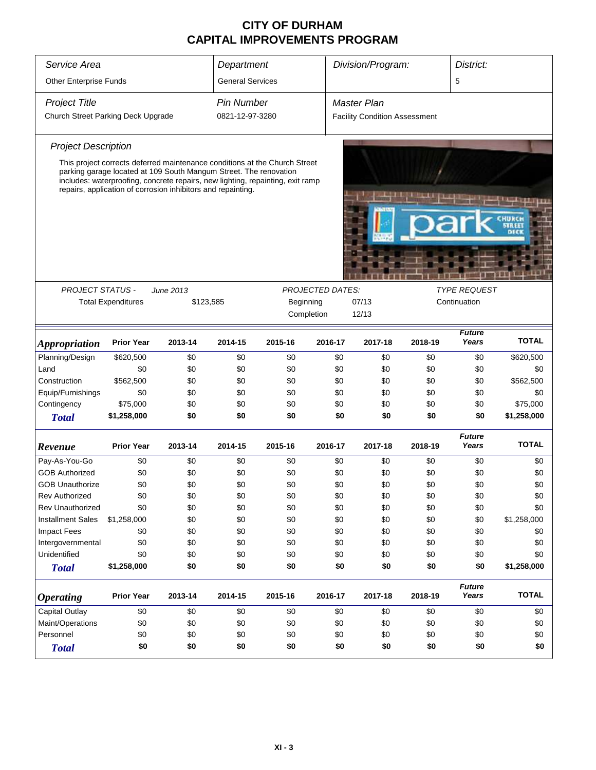## **CITY OF DURHAM CAPITAL IMPROVEMENTS PROGRAM**

| Service Area                       |                           |                                                                                                                                                                                                                     | Department              |                    |                         | Division/Program:                    |         | District:              |              |
|------------------------------------|---------------------------|---------------------------------------------------------------------------------------------------------------------------------------------------------------------------------------------------------------------|-------------------------|--------------------|-------------------------|--------------------------------------|---------|------------------------|--------------|
| <b>Other Enterprise Funds</b>      |                           |                                                                                                                                                                                                                     | <b>General Services</b> |                    |                         |                                      |         | 5                      |              |
| <b>Project Title</b>               | <b>Pin Number</b>         |                                                                                                                                                                                                                     |                         | <b>Master Plan</b> |                         |                                      |         |                        |              |
| Church Street Parking Deck Upgrade |                           |                                                                                                                                                                                                                     | 0821-12-97-3280         |                    |                         | <b>Facility Condition Assessment</b> |         |                        |              |
| <b>Project Description</b>         |                           |                                                                                                                                                                                                                     |                         |                    |                         |                                      |         |                        |              |
|                                    |                           | This project corrects deferred maintenance conditions at the Church Street                                                                                                                                          |                         |                    |                         |                                      |         |                        |              |
|                                    |                           | parking garage located at 109 South Mangum Street. The renovation<br>includes: waterproofing, concrete repairs, new lighting, repainting, exit ramp<br>repairs, application of corrosion inhibitors and repainting. |                         |                    |                         |                                      |         |                        |              |
|                                    |                           |                                                                                                                                                                                                                     |                         |                    |                         |                                      |         |                        |              |
|                                    |                           |                                                                                                                                                                                                                     |                         |                    |                         |                                      |         |                        |              |
|                                    |                           |                                                                                                                                                                                                                     |                         |                    |                         |                                      |         |                        |              |
|                                    |                           |                                                                                                                                                                                                                     |                         |                    |                         |                                      |         |                        |              |
| <b>PROJECT STATUS -</b>            |                           | <b>June 2013</b>                                                                                                                                                                                                    |                         |                    | <b>PROJECTED DATES:</b> |                                      |         | <b>TYPE REQUEST</b>    |              |
|                                    | <b>Total Expenditures</b> | \$123,585                                                                                                                                                                                                           |                         | Beginning          |                         | 07/13                                |         | Continuation           |              |
|                                    |                           |                                                                                                                                                                                                                     |                         | Completion         |                         | 12/13                                |         |                        |              |
| <b>Appropriation</b>               | <b>Prior Year</b>         | 2013-14                                                                                                                                                                                                             | 2014-15                 | 2015-16            | 2016-17                 | 2017-18                              | 2018-19 | <b>Future</b><br>Years | <b>TOTAL</b> |
| Planning/Design                    | \$620,500                 | \$0                                                                                                                                                                                                                 | \$0                     | \$0                | \$0                     | \$0                                  | \$0     | \$0                    | \$620,500    |
| Land                               | \$0                       | \$0                                                                                                                                                                                                                 | \$0                     | \$0                | \$0                     | \$0                                  | \$0     | \$0                    | \$0          |
| Construction                       | \$562,500                 | \$0                                                                                                                                                                                                                 | \$0                     | \$0                | \$0                     | \$0                                  | \$0     | \$0                    | \$562,500    |
| Equip/Furnishings                  | \$0                       | \$0                                                                                                                                                                                                                 | \$0                     | \$0                | \$0                     | \$0                                  | \$0     | \$0                    | \$0          |
| Contingency                        | \$75,000                  | \$0                                                                                                                                                                                                                 | \$0                     | \$0                | \$0                     | \$0                                  | \$0     | \$0                    | \$75,000     |
| <b>Total</b>                       | \$1,258,000               | \$0                                                                                                                                                                                                                 | \$0                     | \$0                | \$0                     | \$0                                  | \$0     | \$0                    | \$1,258,000  |
| Revenue                            | <b>Prior Year</b>         | 2013-14                                                                                                                                                                                                             | 2014-15                 | 2015-16            | 2016-17                 | 2017-18                              | 2018-19 | <b>Future</b><br>Years | <b>TOTAL</b> |
| Pay-As-You-Go                      | \$0                       | \$0                                                                                                                                                                                                                 | \$0                     | \$0                | \$0                     | \$0                                  | \$0     | \$0                    | \$0          |
| <b>GOB Authorized</b>              | \$0                       | \$0                                                                                                                                                                                                                 | \$0                     | \$0                | \$0                     | \$0                                  | \$0     | \$0                    | \$0          |
| <b>GOB Unauthorize</b>             | \$0                       | \$0                                                                                                                                                                                                                 | \$0                     | \$0                | \$0                     | \$0                                  | \$0     | \$0                    | \$0          |
| <b>Rev Authorized</b>              | \$0                       | \$0                                                                                                                                                                                                                 | \$0                     | \$0                | \$0                     | \$0                                  | \$0     | \$0                    | \$0          |
| <b>Rev Unauthorized</b>            | \$0                       | \$0                                                                                                                                                                                                                 | \$0                     | \$0                | \$0                     | \$0                                  | \$0     | \$0                    | \$0          |
| <b>Installment Sales</b>           | \$1,258,000               | \$0                                                                                                                                                                                                                 | \$0                     | \$0                | \$0                     | \$0                                  | \$0     | \$0                    | \$1,258,000  |
| <b>Impact Fees</b>                 | \$0                       | \$0                                                                                                                                                                                                                 | \$0                     | \$0                | \$0                     | \$0                                  | \$0     | \$0                    | \$0          |
| Intergovernmental                  | \$0                       | \$0                                                                                                                                                                                                                 | \$0                     | \$0                | \$0                     | \$0                                  | \$0     | \$0                    | \$0          |
| Unidentified                       | \$0                       | \$0                                                                                                                                                                                                                 | \$0                     | \$0                | \$0                     | \$0                                  | \$0     | \$0                    | \$0          |
| <b>Total</b>                       | \$1,258,000               | \$0                                                                                                                                                                                                                 | \$0                     | \$0                | \$0                     | \$0                                  | \$0     | \$0                    | \$1,258,000  |
| <b>Operating</b>                   | <b>Prior Year</b>         | 2013-14                                                                                                                                                                                                             | 2014-15                 | 2015-16            | 2016-17                 | 2017-18                              | 2018-19 | <b>Future</b><br>Years | <b>TOTAL</b> |
| <b>Capital Outlay</b>              | \$0                       | \$0                                                                                                                                                                                                                 | \$0                     | \$0                | \$0                     | \$0                                  | \$0     | \$0                    | \$0          |
| Maint/Operations                   | \$0                       | \$0                                                                                                                                                                                                                 | \$0                     | \$0                | \$0                     | \$0                                  | \$0     | \$0                    | \$0          |
| Personnel                          | \$0                       | \$0                                                                                                                                                                                                                 | \$0                     | \$0                | \$0                     | \$0                                  | \$0     | \$0                    | \$0          |
| <b>Total</b>                       | \$0                       | \$0                                                                                                                                                                                                                 | \$0                     | \$0                | \$0                     | \$0                                  | \$0     | \$0                    | \$0          |